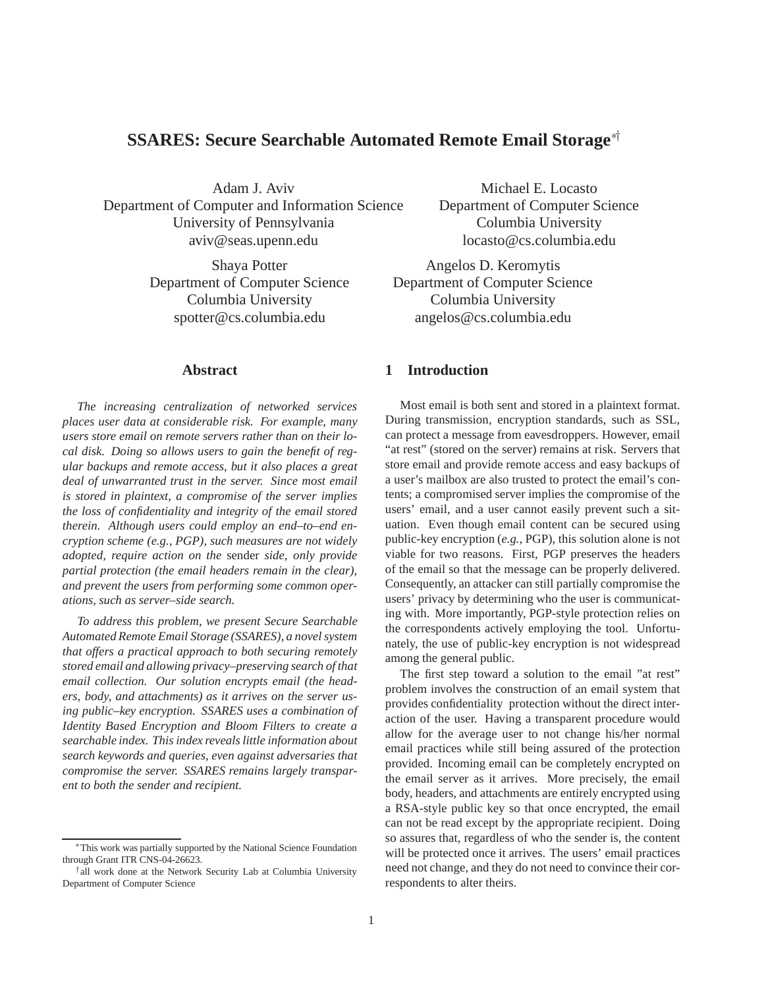# **SSARES: Secure Searchable Automated Remote Email Storage**∗†

Adam J. Aviv Department of Computer and Information Science University of Pennsylvania aviv@seas.upenn.edu

> Shaya Potter Department of Computer Science Columbia University spotter@cs.columbia.edu

# **Abstract**

*The increasing centralization of networked services places user data at considerable risk. For example, many users store email on remote servers rather than on their local disk. Doing so allows users to gain the benefit of regular backups and remote access, but it also places a great deal of unwarranted trust in the server. Since most email is stored in plaintext, a compromise of the server implies the loss of confidentiality and integrity of the email stored therein. Although users could employ an end–to–end encryption scheme (e.g., PGP), such measures are not widely adopted, require action on the* sender *side, only provide partial protection (the email headers remain in the clear), and prevent the users from performing some common operations, such as server–side search.*

*To address this problem, we present Secure Searchable Automated Remote Email Storage (SSARES), a novel system that offers a practical approach to both securing remotely stored email and allowing privacy–preserving search of that email collection. Our solution encrypts email (the headers, body, and attachments) as it arrives on the server using public–key encryption. SSARES uses a combination of Identity Based Encryption and Bloom Filters to create a searchable index. This index reveals little information about search keywords and queries, even against adversaries that compromise the server. SSARES remains largely transparent to both the sender and recipient.*

Michael E. Locasto Department of Computer Science Columbia University locasto@cs.columbia.edu

Angelos D. Keromytis Department of Computer Science Columbia University angelos@cs.columbia.edu

# **1 Introduction**

Most email is both sent and stored in a plaintext format. During transmission, encryption standards, such as SSL, can protect a message from eavesdroppers. However, email "at rest" (stored on the server) remains at risk. Servers that store email and provide remote access and easy backups of a user's mailbox are also trusted to protect the email's contents; a compromised server implies the compromise of the users' email, and a user cannot easily prevent such a situation. Even though email content can be secured using public-key encryption (*e.g.,* PGP), this solution alone is not viable for two reasons. First, PGP preserves the headers of the email so that the message can be properly delivered. Consequently, an attacker can still partially compromise the users' privacy by determining who the user is communicating with. More importantly, PGP-style protection relies on the correspondents actively employing the tool. Unfortunately, the use of public-key encryption is not widespread among the general public.

The first step toward a solution to the email "at rest" problem involves the construction of an email system that provides confidentiality protection without the direct interaction of the user. Having a transparent procedure would allow for the average user to not change his/her normal email practices while still being assured of the protection provided. Incoming email can be completely encrypted on the email server as it arrives. More precisely, the email body, headers, and attachments are entirely encrypted using a RSA-style public key so that once encrypted, the email can not be read except by the appropriate recipient. Doing so assures that, regardless of who the sender is, the content will be protected once it arrives. The users' email practices need not change, and they do not need to convince their correspondents to alter theirs.

<sup>∗</sup>This work was partially supported by the National Science Foundation through Grant ITR CNS-04-26623.

<sup>†</sup> all work done at the Network Security Lab at Columbia University Department of Computer Science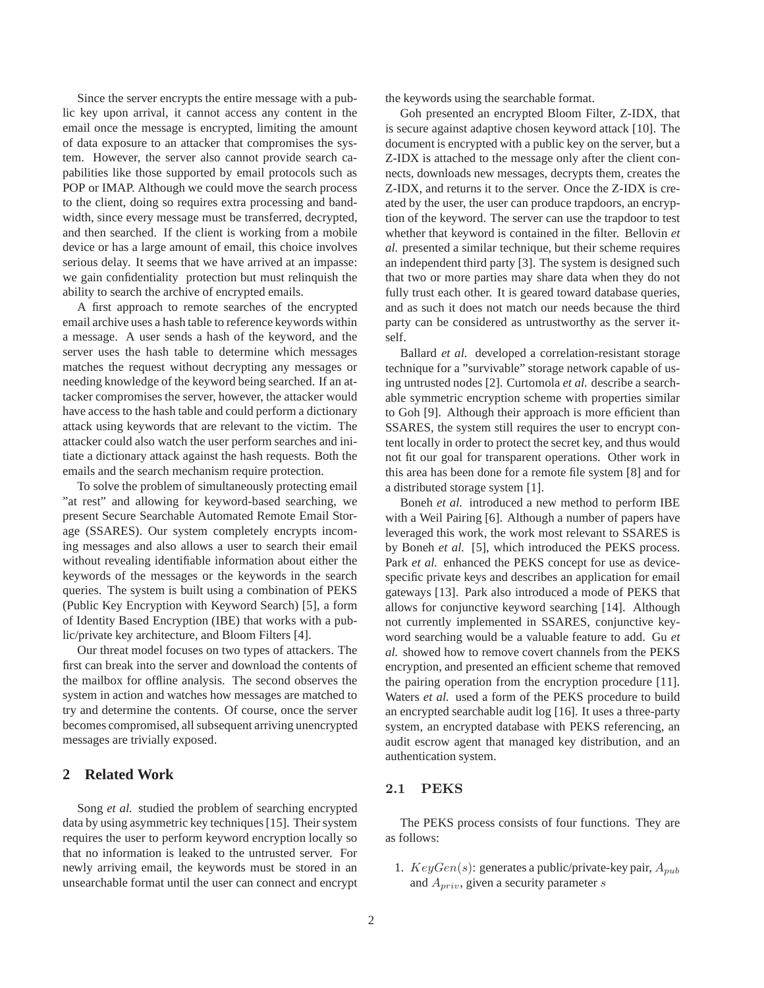Since the server encrypts the entire message with a public key upon arrival, it cannot access any content in the email once the message is encrypted, limiting the amount of data exposure to an attacker that compromises the system. However, the server also cannot provide search capabilities like those supported by email protocols such as POP or IMAP. Although we could move the search process to the client, doing so requires extra processing and bandwidth, since every message must be transferred, decrypted, and then searched. If the client is working from a mobile device or has a large amount of email, this choice involves serious delay. It seems that we have arrived at an impasse: we gain confidentiality protection but must relinquish the ability to search the archive of encrypted emails.

A first approach to remote searches of the encrypted email archive uses a hash table to reference keywords within a message. A user sends a hash of the keyword, and the server uses the hash table to determine which messages matches the request without decrypting any messages or needing knowledge of the keyword being searched. If an attacker compromises the server, however, the attacker would have access to the hash table and could perform a dictionary attack using keywords that are relevant to the victim. The attacker could also watch the user perform searches and initiate a dictionary attack against the hash requests. Both the emails and the search mechanism require protection.

To solve the problem of simultaneously protecting email "at rest" and allowing for keyword-based searching, we present Secure Searchable Automated Remote Email Storage (SSARES). Our system completely encrypts incoming messages and also allows a user to search their email without revealing identifiable information about either the keywords of the messages or the keywords in the search queries. The system is built using a combination of PEKS (Public Key Encryption with Keyword Search) [5], a form of Identity Based Encryption (IBE) that works with a public/private key architecture, and Bloom Filters [4].

Our threat model focuses on two types of attackers. The first can break into the server and download the contents of the mailbox for offline analysis. The second observes the system in action and watches how messages are matched to try and determine the contents. Of course, once the server becomes compromised, all subsequent arriving unencrypted messages are trivially exposed.

## **2 Related Work**

Song *et al.* studied the problem of searching encrypted data by using asymmetric key techniques [15]. Their system requires the user to perform keyword encryption locally so that no information is leaked to the untrusted server. For newly arriving email, the keywords must be stored in an unsearchable format until the user can connect and encrypt the keywords using the searchable format.

Goh presented an encrypted Bloom Filter, Z-IDX, that is secure against adaptive chosen keyword attack [10]. The document is encrypted with a public key on the server, but a Z-IDX is attached to the message only after the client connects, downloads new messages, decrypts them, creates the Z-IDX, and returns it to the server. Once the Z-IDX is created by the user, the user can produce trapdoors, an encryption of the keyword. The server can use the trapdoor to test whether that keyword is contained in the filter. Bellovin *et al.* presented a similar technique, but their scheme requires an independent third party [3]. The system is designed such that two or more parties may share data when they do not fully trust each other. It is geared toward database queries, and as such it does not match our needs because the third party can be considered as untrustworthy as the server itself.

Ballard *et al.* developed a correlation-resistant storage technique for a "survivable" storage network capable of using untrusted nodes [2]. Curtomola *et al.* describe a searchable symmetric encryption scheme with properties similar to Goh [9]. Although their approach is more efficient than SSARES, the system still requires the user to encrypt content locally in order to protect the secret key, and thus would not fit our goal for transparent operations. Other work in this area has been done for a remote file system [8] and for a distributed storage system [1].

Boneh *et al.* introduced a new method to perform IBE with a Weil Pairing [6]. Although a number of papers have leveraged this work, the work most relevant to SSARES is by Boneh *et al.* [5], which introduced the PEKS process. Park *et al.* enhanced the PEKS concept for use as devicespecific private keys and describes an application for email gateways [13]. Park also introduced a mode of PEKS that allows for conjunctive keyword searching [14]. Although not currently implemented in SSARES, conjunctive keyword searching would be a valuable feature to add. Gu *et al.* showed how to remove covert channels from the PEKS encryption, and presented an efficient scheme that removed the pairing operation from the encryption procedure [11]. Waters *et al.* used a form of the PEKS procedure to build an encrypted searchable audit log [16]. It uses a three-party system, an encrypted database with PEKS referencing, an audit escrow agent that managed key distribution, and an authentication system.

## 2.1 PEKS

The PEKS process consists of four functions. They are as follows:

1.  $KeyGen(s)$ : generates a public/private-key pair,  $A_{pub}$ and  $A_{priv}$ , given a security parameter s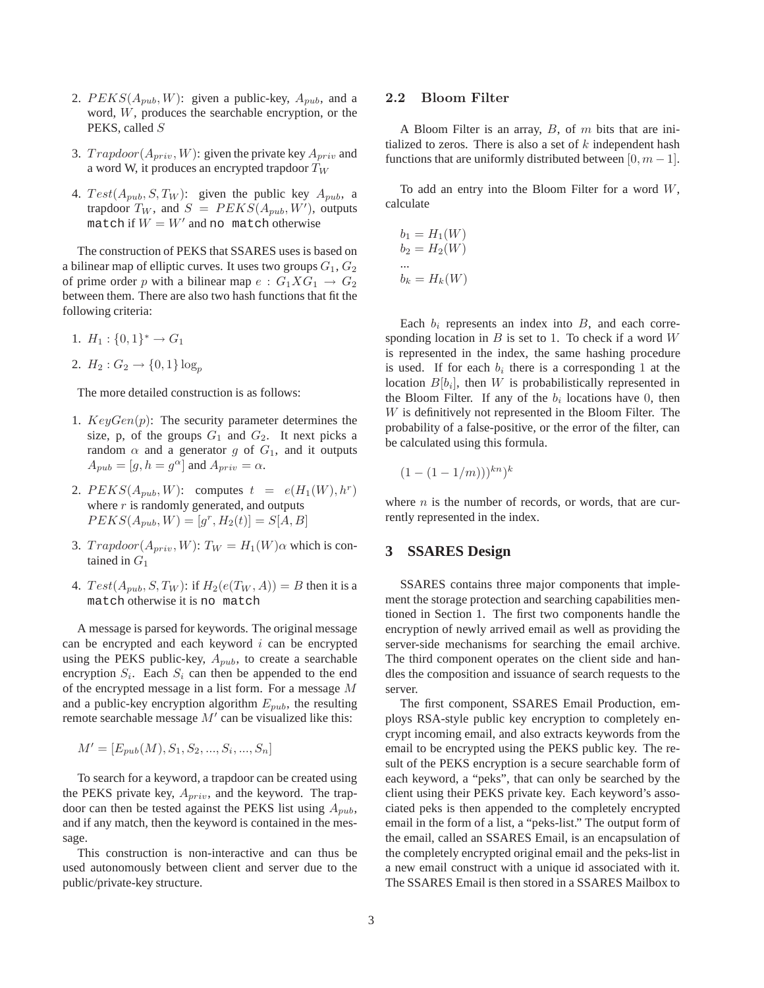- 2.  $PEKS(A_{pub}, W)$ : given a public-key,  $A_{pub}$ , and a word, W, produces the searchable encryption, or the PEKS, called S
- 3.  $Trapdoor(A_{priv}, W)$ : given the private key  $A_{priv}$  and a word W, it produces an encrypted trapdoor  $T_W$
- 4.  $Test(A_{pub}, S, T_W)$ : given the public key  $A_{pub}$ , a trapdoor  $T_W$ , and  $S = P E K S(A_{pub}, W')$ , outputs match if  $W = W'$  and no match otherwise

The construction of PEKS that SSARES uses is based on a bilinear map of elliptic curves. It uses two groups  $G_1, G_2$ of prime order p with a bilinear map  $e : G_1 X G_1 \rightarrow G_2$ between them. There are also two hash functions that fit the following criteria:

- 1.  $H_1: \{0,1\}^* \to G_1$
- 2.  $H_2: G_2 \to \{0,1\} \log_n$

The more detailed construction is as follows:

- 1.  $KeyGen(p)$ : The security parameter determines the size, p, of the groups  $G_1$  and  $G_2$ . It next picks a random  $\alpha$  and a generator g of  $G_1$ , and it outputs  $A_{pub} = [g, h = g^{\alpha}]$  and  $A_{priv} = \alpha$ .
- 2.  $PEKS(A_{pub}, W)$ : computes  $t = e(H_1(W), h^r)$ where  $r$  is randomly generated, and outputs  $PEKS(A_{pub}, W) = [g<sup>r</sup>, H<sub>2</sub>(t)] = S[A, B]$
- 3.  $Trapdoor(A_{priv}, W)$ :  $T_W = H_1(W) \alpha$  which is contained in  $G_1$
- 4.  $Test(A_{pub}, S, T_W)$ : if  $H_2(e(T_W, A)) = B$  then it is a match otherwise it is no match

A message is parsed for keywords. The original message can be encrypted and each keyword  $i$  can be encrypted using the PEKS public-key,  $A_{pub}$ , to create a searchable encryption  $S_i$ . Each  $S_i$  can then be appended to the end of the encrypted message in a list form. For a message M and a public-key encryption algorithm  $E_{pub}$ , the resulting remote searchable message  $M'$  can be visualized like this:

$$
M' = [E_{pub}(M), S_1, S_2, ..., S_i, ..., S_n]
$$

To search for a keyword, a trapdoor can be created using the PEKS private key,  $A_{priv}$ , and the keyword. The trapdoor can then be tested against the PEKS list using  $A_{pub}$ , and if any match, then the keyword is contained in the message.

This construction is non-interactive and can thus be used autonomously between client and server due to the public/private-key structure.

#### 2.2 Bloom Filter

A Bloom Filter is an array,  $B$ , of  $m$  bits that are initialized to zeros. There is also a set of  $k$  independent hash functions that are uniformly distributed between  $[0, m - 1]$ .

To add an entry into the Bloom Filter for a word  $W$ , calculate

$$
b_1 = H_1(W)
$$
  
\n
$$
b_2 = H_2(W)
$$
  
\n...  
\n
$$
b_k = H_k(W)
$$

Each  $b_i$  represents an index into  $B$ , and each corresponding location in  $B$  is set to 1. To check if a word  $W$ is represented in the index, the same hashing procedure is used. If for each  $b_i$  there is a corresponding 1 at the location  $B[b_i]$ , then W is probabilistically represented in the Bloom Filter. If any of the  $b_i$  locations have 0, then W is definitively not represented in the Bloom Filter. The probability of a false-positive, or the error of the filter, can be calculated using this formula.

$$
(1-(1-1/m)))^{kn}^k
$$

where  $n$  is the number of records, or words, that are currently represented in the index.

### **3 SSARES Design**

SSARES contains three major components that implement the storage protection and searching capabilities mentioned in Section 1. The first two components handle the encryption of newly arrived email as well as providing the server-side mechanisms for searching the email archive. The third component operates on the client side and handles the composition and issuance of search requests to the server.

The first component, SSARES Email Production, employs RSA-style public key encryption to completely encrypt incoming email, and also extracts keywords from the email to be encrypted using the PEKS public key. The result of the PEKS encryption is a secure searchable form of each keyword, a "peks", that can only be searched by the client using their PEKS private key. Each keyword's associated peks is then appended to the completely encrypted email in the form of a list, a "peks-list." The output form of the email, called an SSARES Email, is an encapsulation of the completely encrypted original email and the peks-list in a new email construct with a unique id associated with it. The SSARES Email is then stored in a SSARES Mailbox to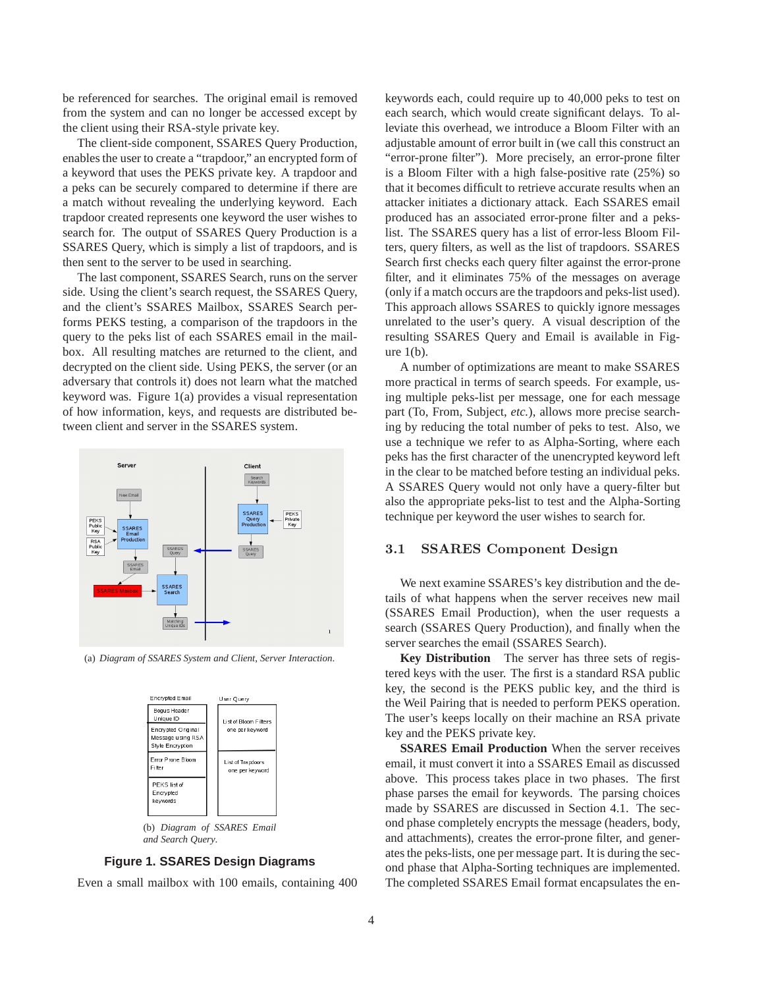be referenced for searches. The original email is removed from the system and can no longer be accessed except by the client using their RSA-style private key.

The client-side component, SSARES Query Production, enables the user to create a "trapdoor," an encrypted form of a keyword that uses the PEKS private key. A trapdoor and a peks can be securely compared to determine if there are a match without revealing the underlying keyword. Each trapdoor created represents one keyword the user wishes to search for. The output of SSARES Query Production is a SSARES Query, which is simply a list of trapdoors, and is then sent to the server to be used in searching.

The last component, SSARES Search, runs on the server side. Using the client's search request, the SSARES Query, and the client's SSARES Mailbox, SSARES Search performs PEKS testing, a comparison of the trapdoors in the query to the peks list of each SSARES email in the mailbox. All resulting matches are returned to the client, and decrypted on the client side. Using PEKS, the server (or an adversary that controls it) does not learn what the matched keyword was. Figure 1(a) provides a visual representation of how information, keys, and requests are distributed between client and server in the SSARES system.



(a) *Diagram of SSARES System and Client, Server Interaction*.



(b) *Diagram of SSARES Email and Search Query*.

**Figure 1. SSARES Design Diagrams**

Even a small mailbox with 100 emails, containing 400

keywords each, could require up to 40,000 peks to test on each search, which would create significant delays. To alleviate this overhead, we introduce a Bloom Filter with an adjustable amount of error built in (we call this construct an "error-prone filter"). More precisely, an error-prone filter is a Bloom Filter with a high false-positive rate (25%) so that it becomes difficult to retrieve accurate results when an attacker initiates a dictionary attack. Each SSARES email produced has an associated error-prone filter and a pekslist. The SSARES query has a list of error-less Bloom Filters, query filters, as well as the list of trapdoors. SSARES Search first checks each query filter against the error-prone filter, and it eliminates 75% of the messages on average (only if a match occurs are the trapdoors and peks-list used). This approach allows SSARES to quickly ignore messages unrelated to the user's query. A visual description of the resulting SSARES Query and Email is available in Figure  $1(b)$ .

A number of optimizations are meant to make SSARES more practical in terms of search speeds. For example, using multiple peks-list per message, one for each message part (To, From, Subject, *etc.*), allows more precise searching by reducing the total number of peks to test. Also, we use a technique we refer to as Alpha-Sorting, where each peks has the first character of the unencrypted keyword left in the clear to be matched before testing an individual peks. A SSARES Query would not only have a query-filter but also the appropriate peks-list to test and the Alpha-Sorting technique per keyword the user wishes to search for.

#### 3.1 SSARES Component Design

We next examine SSARES's key distribution and the details of what happens when the server receives new mail (SSARES Email Production), when the user requests a search (SSARES Query Production), and finally when the server searches the email (SSARES Search).

**Key Distribution** The server has three sets of registered keys with the user. The first is a standard RSA public key, the second is the PEKS public key, and the third is the Weil Pairing that is needed to perform PEKS operation. The user's keeps locally on their machine an RSA private key and the PEKS private key.

**SSARES Email Production** When the server receives email, it must convert it into a SSARES Email as discussed above. This process takes place in two phases. The first phase parses the email for keywords. The parsing choices made by SSARES are discussed in Section 4.1. The second phase completely encrypts the message (headers, body, and attachments), creates the error-prone filter, and generates the peks-lists, one per message part. It is during the second phase that Alpha-Sorting techniques are implemented. The completed SSARES Email format encapsulates the en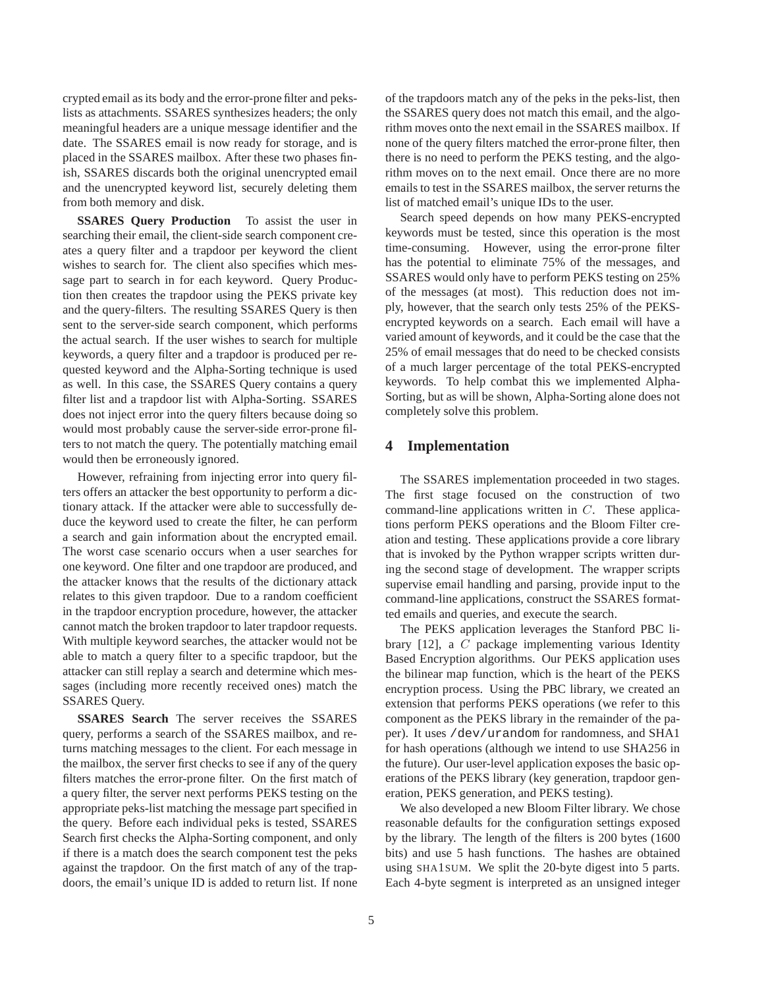crypted email as its body and the error-prone filter and pekslists as attachments. SSARES synthesizes headers; the only meaningful headers are a unique message identifier and the date. The SSARES email is now ready for storage, and is placed in the SSARES mailbox. After these two phases finish, SSARES discards both the original unencrypted email and the unencrypted keyword list, securely deleting them from both memory and disk.

**SSARES Query Production** To assist the user in searching their email, the client-side search component creates a query filter and a trapdoor per keyword the client wishes to search for. The client also specifies which message part to search in for each keyword. Query Production then creates the trapdoor using the PEKS private key and the query-filters. The resulting SSARES Query is then sent to the server-side search component, which performs the actual search. If the user wishes to search for multiple keywords, a query filter and a trapdoor is produced per requested keyword and the Alpha-Sorting technique is used as well. In this case, the SSARES Query contains a query filter list and a trapdoor list with Alpha-Sorting. SSARES does not inject error into the query filters because doing so would most probably cause the server-side error-prone filters to not match the query. The potentially matching email would then be erroneously ignored.

However, refraining from injecting error into query filters offers an attacker the best opportunity to perform a dictionary attack. If the attacker were able to successfully deduce the keyword used to create the filter, he can perform a search and gain information about the encrypted email. The worst case scenario occurs when a user searches for one keyword. One filter and one trapdoor are produced, and the attacker knows that the results of the dictionary attack relates to this given trapdoor. Due to a random coefficient in the trapdoor encryption procedure, however, the attacker cannot match the broken trapdoor to later trapdoor requests. With multiple keyword searches, the attacker would not be able to match a query filter to a specific trapdoor, but the attacker can still replay a search and determine which messages (including more recently received ones) match the SSARES Query.

**SSARES Search** The server receives the SSARES query, performs a search of the SSARES mailbox, and returns matching messages to the client. For each message in the mailbox, the server first checks to see if any of the query filters matches the error-prone filter. On the first match of a query filter, the server next performs PEKS testing on the appropriate peks-list matching the message part specified in the query. Before each individual peks is tested, SSARES Search first checks the Alpha-Sorting component, and only if there is a match does the search component test the peks against the trapdoor. On the first match of any of the trapdoors, the email's unique ID is added to return list. If none

of the trapdoors match any of the peks in the peks-list, then the SSARES query does not match this email, and the algorithm moves onto the next email in the SSARES mailbox. If none of the query filters matched the error-prone filter, then there is no need to perform the PEKS testing, and the algorithm moves on to the next email. Once there are no more emails to test in the SSARES mailbox, the server returns the list of matched email's unique IDs to the user.

Search speed depends on how many PEKS-encrypted keywords must be tested, since this operation is the most time-consuming. However, using the error-prone filter has the potential to eliminate 75% of the messages, and SSARES would only have to perform PEKS testing on 25% of the messages (at most). This reduction does not imply, however, that the search only tests 25% of the PEKSencrypted keywords on a search. Each email will have a varied amount of keywords, and it could be the case that the 25% of email messages that do need to be checked consists of a much larger percentage of the total PEKS-encrypted keywords. To help combat this we implemented Alpha-Sorting, but as will be shown, Alpha-Sorting alone does not completely solve this problem.

## **4 Implementation**

The SSARES implementation proceeded in two stages. The first stage focused on the construction of two command-line applications written in C. These applications perform PEKS operations and the Bloom Filter creation and testing. These applications provide a core library that is invoked by the Python wrapper scripts written during the second stage of development. The wrapper scripts supervise email handling and parsing, provide input to the command-line applications, construct the SSARES formatted emails and queries, and execute the search.

The PEKS application leverages the Stanford PBC library [12], a C package implementing various Identity Based Encryption algorithms. Our PEKS application uses the bilinear map function, which is the heart of the PEKS encryption process. Using the PBC library, we created an extension that performs PEKS operations (we refer to this component as the PEKS library in the remainder of the paper). It uses /dev/urandom for randomness, and SHA1 for hash operations (although we intend to use SHA256 in the future). Our user-level application exposes the basic operations of the PEKS library (key generation, trapdoor generation, PEKS generation, and PEKS testing).

We also developed a new Bloom Filter library. We chose reasonable defaults for the configuration settings exposed by the library. The length of the filters is 200 bytes (1600 bits) and use 5 hash functions. The hashes are obtained using SHA1SUM. We split the 20-byte digest into 5 parts. Each 4-byte segment is interpreted as an unsigned integer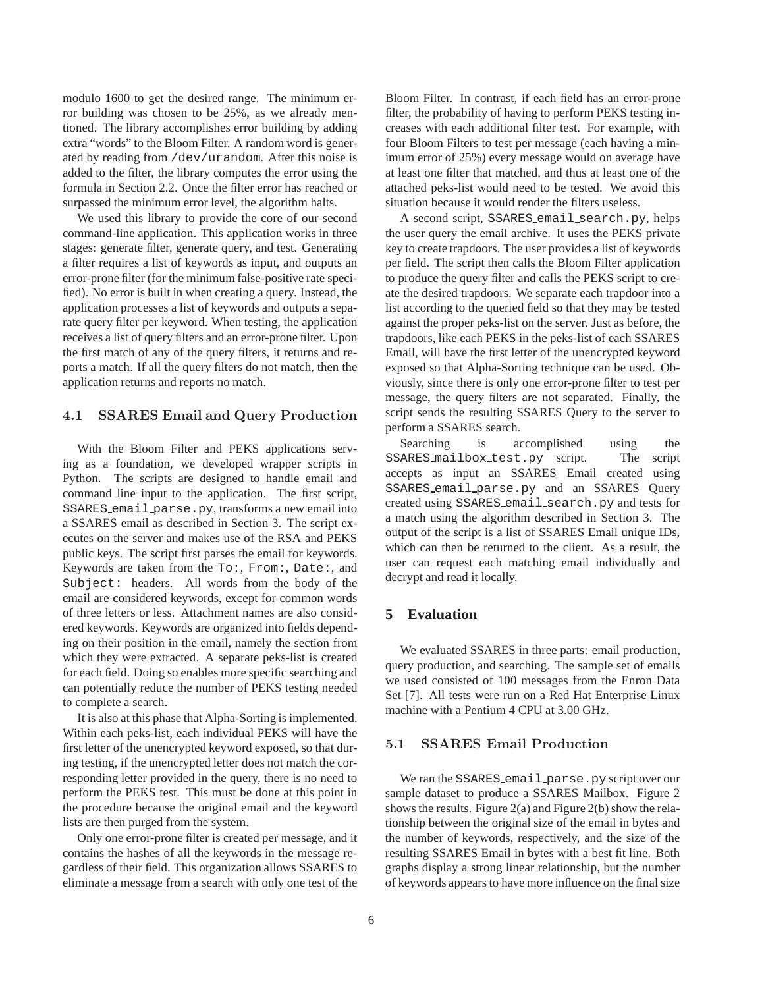modulo 1600 to get the desired range. The minimum error building was chosen to be 25%, as we already mentioned. The library accomplishes error building by adding extra "words" to the Bloom Filter. A random word is generated by reading from /dev/urandom. After this noise is added to the filter, the library computes the error using the formula in Section 2.2. Once the filter error has reached or surpassed the minimum error level, the algorithm halts.

We used this library to provide the core of our second command-line application. This application works in three stages: generate filter, generate query, and test. Generating a filter requires a list of keywords as input, and outputs an error-prone filter (for the minimum false-positive rate specified). No error is built in when creating a query. Instead, the application processes a list of keywords and outputs a separate query filter per keyword. When testing, the application receives a list of query filters and an error-prone filter. Upon the first match of any of the query filters, it returns and reports a match. If all the query filters do not match, then the application returns and reports no match.

#### 4.1 SSARES Email and Query Production

With the Bloom Filter and PEKS applications serving as a foundation, we developed wrapper scripts in Python. The scripts are designed to handle email and command line input to the application. The first script, SSARES email parse.py, transforms a new email into a SSARES email as described in Section 3. The script executes on the server and makes use of the RSA and PEKS public keys. The script first parses the email for keywords. Keywords are taken from the To:, From:, Date:, and Subject: headers. All words from the body of the email are considered keywords, except for common words of three letters or less. Attachment names are also considered keywords. Keywords are organized into fields depending on their position in the email, namely the section from which they were extracted. A separate peks-list is created for each field. Doing so enables more specific searching and can potentially reduce the number of PEKS testing needed to complete a search.

It is also at this phase that Alpha-Sorting is implemented. Within each peks-list, each individual PEKS will have the first letter of the unencrypted keyword exposed, so that during testing, if the unencrypted letter does not match the corresponding letter provided in the query, there is no need to perform the PEKS test. This must be done at this point in the procedure because the original email and the keyword lists are then purged from the system.

Only one error-prone filter is created per message, and it contains the hashes of all the keywords in the message regardless of their field. This organization allows SSARES to eliminate a message from a search with only one test of the

Bloom Filter. In contrast, if each field has an error-prone filter, the probability of having to perform PEKS testing increases with each additional filter test. For example, with four Bloom Filters to test per message (each having a minimum error of 25%) every message would on average have at least one filter that matched, and thus at least one of the attached peks-list would need to be tested. We avoid this situation because it would render the filters useless.

A second script, SSARES email search.py, helps the user query the email archive. It uses the PEKS private key to create trapdoors. The user provides a list of keywords per field. The script then calls the Bloom Filter application to produce the query filter and calls the PEKS script to create the desired trapdoors. We separate each trapdoor into a list according to the queried field so that they may be tested against the proper peks-list on the server. Just as before, the trapdoors, like each PEKS in the peks-list of each SSARES Email, will have the first letter of the unencrypted keyword exposed so that Alpha-Sorting technique can be used. Obviously, since there is only one error-prone filter to test per message, the query filters are not separated. Finally, the script sends the resulting SSARES Query to the server to perform a SSARES search.

Searching is accomplished using the SSARES mailbox test.py script. The script accepts as input an SSARES Email created using SSARES email parse.py and an SSARES Query created using SSARES email search.py and tests for a match using the algorithm described in Section 3. The output of the script is a list of SSARES Email unique IDs, which can then be returned to the client. As a result, the user can request each matching email individually and decrypt and read it locally.

## **5 Evaluation**

We evaluated SSARES in three parts: email production, query production, and searching. The sample set of emails we used consisted of 100 messages from the Enron Data Set [7]. All tests were run on a Red Hat Enterprise Linux machine with a Pentium 4 CPU at 3.00 GHz.

## 5.1 SSARES Email Production

We ran the SSARES\_email\_parse.py script over our sample dataset to produce a SSARES Mailbox. Figure 2 shows the results. Figure 2(a) and Figure 2(b) show the relationship between the original size of the email in bytes and the number of keywords, respectively, and the size of the resulting SSARES Email in bytes with a best fit line. Both graphs display a strong linear relationship, but the number of keywords appears to have more influence on the final size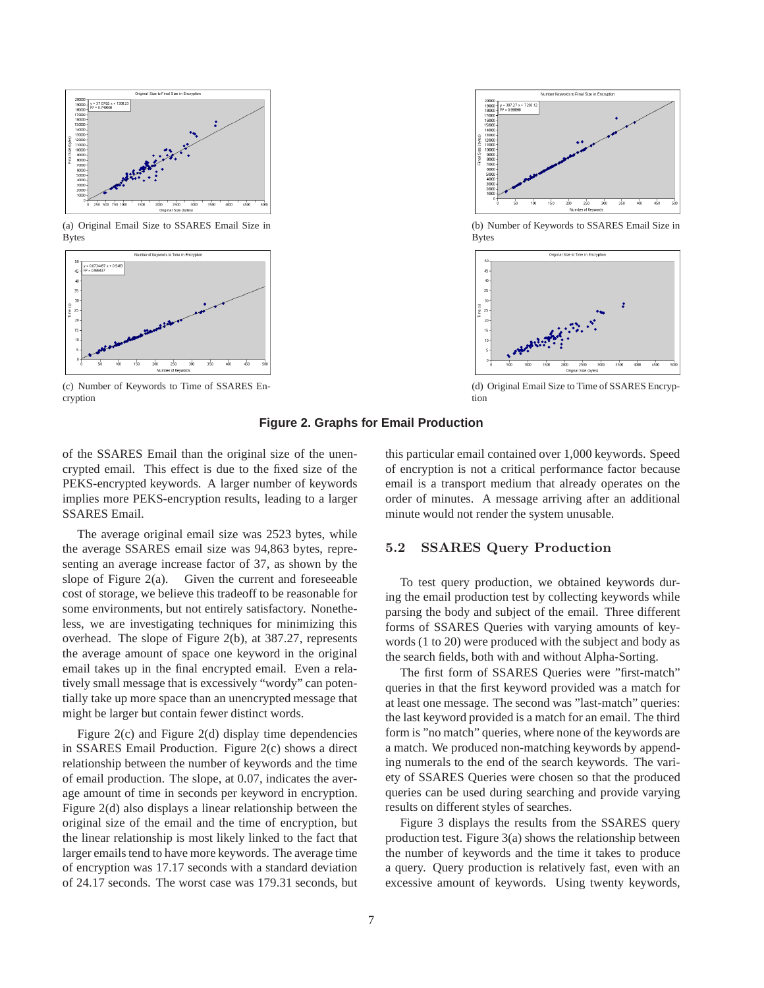

(a) Original Email Size to SSARES Email Size in Bytes



(c) Number of Keywords to Time of SSARES Encryption



(b) Number of Keywords to SSARES Email Size in Bytes



(d) Original Email Size to Time of SSARES Encryption

#### **Figure 2. Graphs for Email Production**

of the SSARES Email than the original size of the unencrypted email. This effect is due to the fixed size of the PEKS-encrypted keywords. A larger number of keywords implies more PEKS-encryption results, leading to a larger SSARES Email.

The average original email size was 2523 bytes, while the average SSARES email size was 94,863 bytes, representing an average increase factor of 37, as shown by the slope of Figure  $2(a)$ . Given the current and foreseeable cost of storage, we believe this tradeoff to be reasonable for some environments, but not entirely satisfactory. Nonetheless, we are investigating techniques for minimizing this overhead. The slope of Figure 2(b), at 387.27, represents the average amount of space one keyword in the original email takes up in the final encrypted email. Even a relatively small message that is excessively "wordy" can potentially take up more space than an unencrypted message that might be larger but contain fewer distinct words.

Figure 2(c) and Figure 2(d) display time dependencies in SSARES Email Production. Figure 2(c) shows a direct relationship between the number of keywords and the time of email production. The slope, at 0.07, indicates the average amount of time in seconds per keyword in encryption. Figure 2(d) also displays a linear relationship between the original size of the email and the time of encryption, but the linear relationship is most likely linked to the fact that larger emails tend to have more keywords. The average time of encryption was 17.17 seconds with a standard deviation of 24.17 seconds. The worst case was 179.31 seconds, but this particular email contained over 1,000 keywords. Speed of encryption is not a critical performance factor because email is a transport medium that already operates on the order of minutes. A message arriving after an additional minute would not render the system unusable.

#### 5.2 SSARES Query Production

To test query production, we obtained keywords during the email production test by collecting keywords while parsing the body and subject of the email. Three different forms of SSARES Queries with varying amounts of keywords (1 to 20) were produced with the subject and body as the search fields, both with and without Alpha-Sorting.

The first form of SSARES Queries were "first-match" queries in that the first keyword provided was a match for at least one message. The second was "last-match" queries: the last keyword provided is a match for an email. The third form is "no match" queries, where none of the keywords are a match. We produced non-matching keywords by appending numerals to the end of the search keywords. The variety of SSARES Queries were chosen so that the produced queries can be used during searching and provide varying results on different styles of searches.

Figure 3 displays the results from the SSARES query production test. Figure 3(a) shows the relationship between the number of keywords and the time it takes to produce a query. Query production is relatively fast, even with an excessive amount of keywords. Using twenty keywords,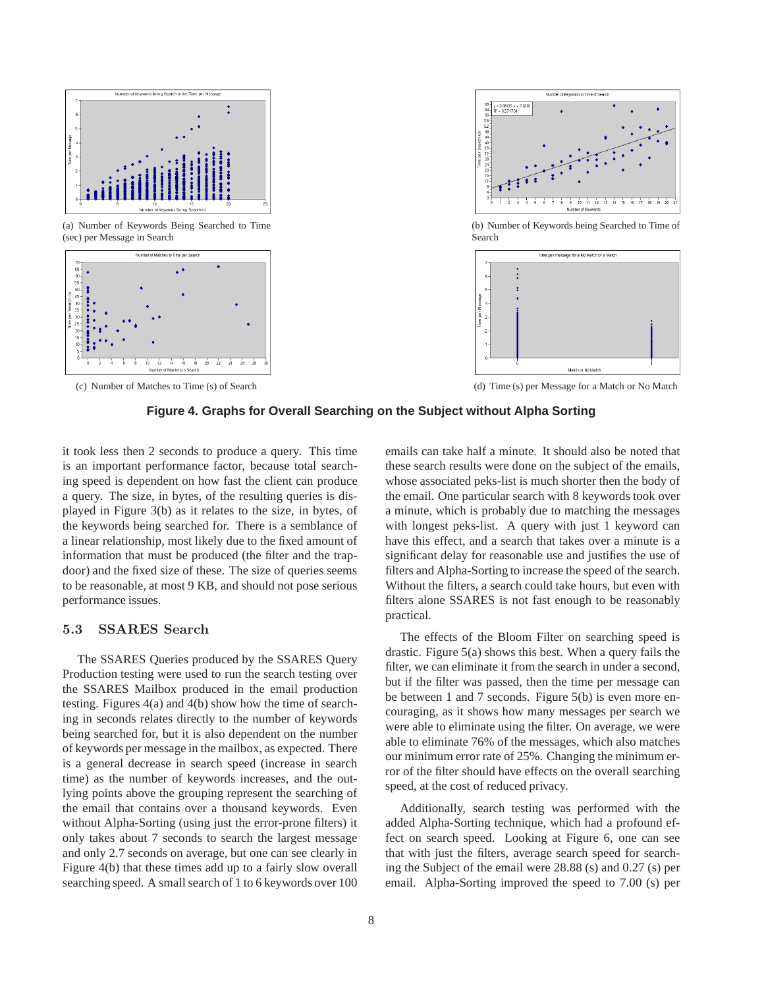





(b) Number of Keywords being Searched to Time of Search





#### **Figure 4. Graphs for Overall Searching on the Subject without Alpha Sorting**

it took less then 2 seconds to produce a query. This time is an important performance factor, because total searching speed is dependent on how fast the client can produce a query. The size, in bytes, of the resulting queries is displayed in Figure 3(b) as it relates to the size, in bytes, of the keywords being searched for. There is a semblance of a linear relationship, most likely due to the fixed amount of information that must be produced (the filter and the trapdoor) and the fixed size of these. The size of queries seems to be reasonable, at most 9 KB, and should not pose serious performance issues.

#### 5.3 SSARES Search

The SSARES Queries produced by the SSARES Query Production testing were used to run the search testing over the SSARES Mailbox produced in the email production testing. Figures 4(a) and 4(b) show how the time of searching in seconds relates directly to the number of keywords being searched for, but it is also dependent on the number of keywords per message in the mailbox, as expected. There is a general decrease in search speed (increase in search time) as the number of keywords increases, and the outlying points above the grouping represent the searching of the email that contains over a thousand keywords. Even without Alpha-Sorting (using just the error-prone filters) it only takes about 7 seconds to search the largest message and only 2.7 seconds on average, but one can see clearly in Figure 4(b) that these times add up to a fairly slow overall searching speed. A small search of 1 to 6 keywords over 100 emails can take half a minute. It should also be noted that these search results were done on the subject of the emails, whose associated peks-list is much shorter then the body of the email. One particular search with 8 keywords took over a minute, which is probably due to matching the messages with longest peks-list. A query with just 1 keyword can have this effect, and a search that takes over a minute is a significant delay for reasonable use and justifies the use of filters and Alpha-Sorting to increase the speed of the search. Without the filters, a search could take hours, but even with filters alone SSARES is not fast enough to be reasonably practical.

The effects of the Bloom Filter on searching speed is drastic. Figure 5(a) shows this best. When a query fails the filter, we can eliminate it from the search in under a second, but if the filter was passed, then the time per message can be between 1 and 7 seconds. Figure 5(b) is even more encouraging, as it shows how many messages per search we were able to eliminate using the filter. On average, we were able to eliminate 76% of the messages, which also matches our minimum error rate of 25%. Changing the minimum error of the filter should have effects on the overall searching speed, at the cost of reduced privacy.

Additionally, search testing was performed with the added Alpha-Sorting technique, which had a profound effect on search speed. Looking at Figure 6, one can see that with just the filters, average search speed for searching the Subject of the email were 28.88 (s) and 0.27 (s) per email. Alpha-Sorting improved the speed to 7.00 (s) per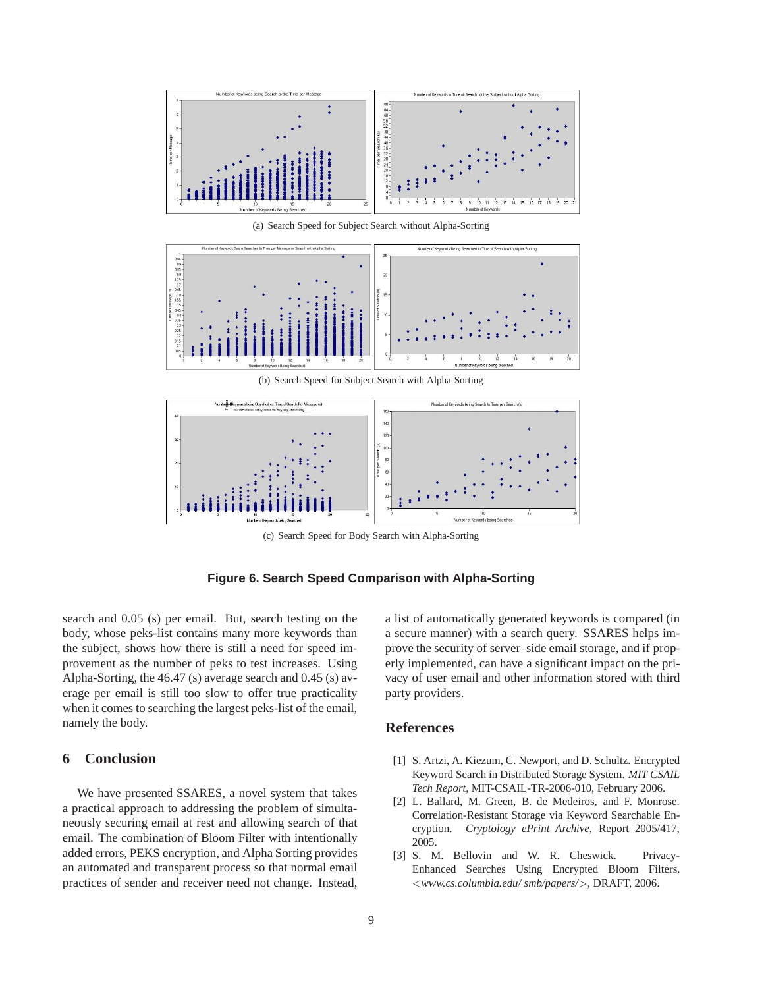

(a) Search Speed for Subject Search without Alpha-Sorting



(b) Search Speed for Subject Search with Alpha-Sorting



(c) Search Speed for Body Search with Alpha-Sorting

**Figure 6. Search Speed Comparison with Alpha-Sorting**

search and 0.05 (s) per email. But, search testing on the body, whose peks-list contains many more keywords than the subject, shows how there is still a need for speed improvement as the number of peks to test increases. Using Alpha-Sorting, the 46.47 (s) average search and 0.45 (s) average per email is still too slow to offer true practicality when it comes to searching the largest peks-list of the email, namely the body.

# **6 Conclusion**

We have presented SSARES, a novel system that takes a practical approach to addressing the problem of simultaneously securing email at rest and allowing search of that email. The combination of Bloom Filter with intentionally added errors, PEKS encryption, and Alpha Sorting provides an automated and transparent process so that normal email practices of sender and receiver need not change. Instead, a list of automatically generated keywords is compared (in a secure manner) with a search query. SSARES helps improve the security of server–side email storage, and if properly implemented, can have a significant impact on the privacy of user email and other information stored with third party providers.

# **References**

- [1] S. Artzi, A. Kiezum, C. Newport, and D. Schultz. Encrypted Keyword Search in Distributed Storage System. *MIT CSAIL Tech Report*, MIT-CSAIL-TR-2006-010, February 2006.
- [2] L. Ballard, M. Green, B. de Medeiros, and F. Monrose. Correlation-Resistant Storage via Keyword Searchable Encryption. *Cryptology ePrint Archive*, Report 2005/417, 2005.
- [3] S. M. Bellovin and W. R. Cheswick. Privacy-Enhanced Searches Using Encrypted Bloom Filters. <*www.cs.columbia.edu/ smb/papers/*>, DRAFT, 2006.